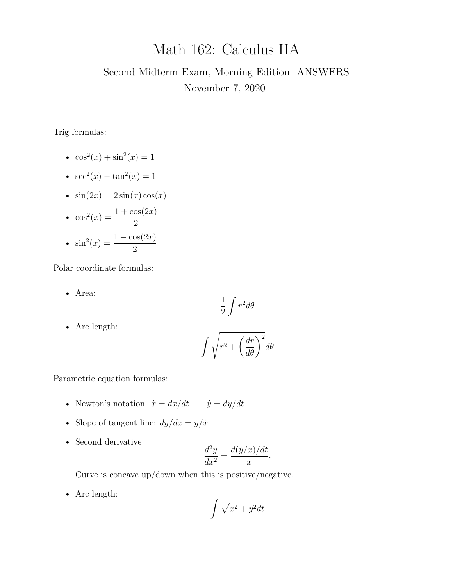# Math 162: Calculus IIA

## Second Midterm Exam, Morning Edition ANSWERS November 7, 2020

Trig formulas:

- $\cos^2(x) + \sin^2(x) = 1$
- $sec^2(x) tan^2(x) = 1$
- $\sin(2x) = 2\sin(x)\cos(x)$
- $\cos^2(x) = \frac{1 + \cos(2x)}{2}$ 2 •  $\sin^2(x) = \frac{1 - \cos(2x)}{2}$ 2

Polar coordinate formulas:

• Area:

$$
\frac{1}{2}\int r^2 d\theta
$$

• Arc length:

$$
\int \sqrt{r^2 + \left(\frac{dr}{d\theta}\right)^2} d\theta
$$

Parametric equation formulas:

- Newton's notation:  $\dot{x} = dx/dt$   $\dot{y} = dy/dt$
- Slope of tangent line:  $dy/dx = \dot{y}/\dot{x}$ .
- Second derivative

$$
\frac{d^2y}{dx^2} = \frac{d(\dot{y}/\dot{x})/dt}{\dot{x}}.
$$

Curve is concave up/down when this is positive/negative.

• Arc length:

$$
\int \sqrt{\dot{x}^2 + \dot{y}^2} dt
$$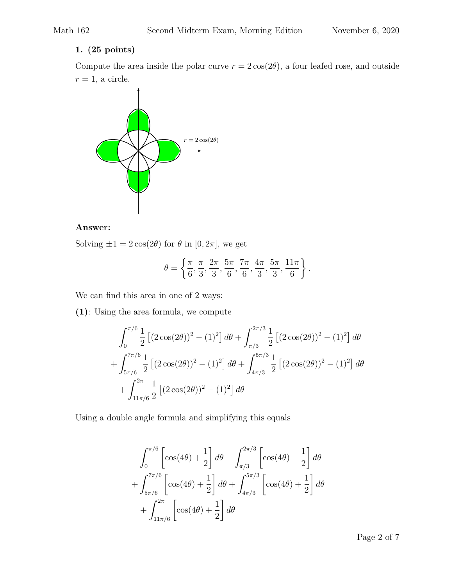## **1. (25 points)**

Compute the area inside the polar curve  $r = 2\cos(2\theta)$ , a four leafed rose, and outside  $r = 1$ , a circle.



## **Answer:**

Solving  $\pm 1 = 2 \cos(2\theta)$  for  $\theta$  in [0,  $2\pi$ ], we get

$$
\theta = \left\{ \frac{\pi}{6}, \frac{\pi}{3}, \frac{2\pi}{3}, \frac{5\pi}{6}, \frac{7\pi}{6}, \frac{4\pi}{3}, \frac{5\pi}{3}, \frac{11\pi}{6} \right\}.
$$

We can find this area in one of 2 ways:

**(1)**: Using the area formula, we compute

$$
\int_0^{\pi/6} \frac{1}{2} \left[ (2 \cos(2\theta))^2 - (1)^2 \right] d\theta + \int_{\pi/3}^{2\pi/3} \frac{1}{2} \left[ (2 \cos(2\theta))^2 - (1)^2 \right] d\theta
$$

$$
+ \int_{5\pi/6}^{7\pi/6} \frac{1}{2} \left[ (2 \cos(2\theta))^2 - (1)^2 \right] d\theta + \int_{4\pi/3}^{5\pi/3} \frac{1}{2} \left[ (2 \cos(2\theta))^2 - (1)^2 \right] d\theta
$$

$$
+ \int_{11\pi/6}^{2\pi} \frac{1}{2} \left[ (2 \cos(2\theta))^2 - (1)^2 \right] d\theta
$$

Using a double angle formula and simplifying this equals

$$
\int_0^{\pi/6} \left[ \cos(4\theta) + \frac{1}{2} \right] d\theta + \int_{\pi/3}^{2\pi/3} \left[ \cos(4\theta) + \frac{1}{2} \right] d\theta + \int_{5\pi/6}^{7\pi/6} \left[ \cos(4\theta) + \frac{1}{2} \right] d\theta + \int_{4\pi/3}^{5\pi/3} \left[ \cos(4\theta) + \frac{1}{2} \right] d\theta + \int_{11\pi/6}^{2\pi} \left[ \cos(4\theta) + \frac{1}{2} \right] d\theta
$$

Page 2 of 7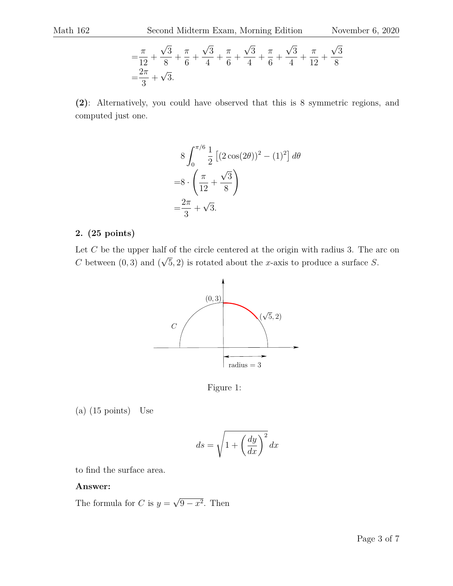$$
= \frac{\pi}{12} + \frac{\sqrt{3}}{8} + \frac{\pi}{6} + \frac{\sqrt{3}}{4} + \frac{\pi}{6} + \frac{\sqrt{3}}{4} + \frac{\pi}{6} + \frac{\sqrt{3}}{4} + \frac{\pi}{12} + \frac{\sqrt{3}}{8}
$$
  
=  $\frac{2\pi}{3} + \sqrt{3}$ .

**(2)**: Alternatively, you could have observed that this is 8 symmetric regions, and computed just one.

$$
8\int_0^{\pi/6} \frac{1}{2} \left[ (2\cos(2\theta))^2 - (1)^2 \right] d\theta
$$
  
=8 \cdot \left( \frac{\pi}{12} + \frac{\sqrt{3}}{8} \right)  
=\frac{2\pi}{3} + \sqrt{3}.

#### **2. (25 points)**

Let  $C$  be the upper half of the circle centered at the origin with radius 3. The arc on C between  $(0, 3)$  and  $($ √  $(5, 2)$  is rotated about the x-axis to produce a surface S.



Figure 1:

(a) (15 points) Use

$$
ds = \sqrt{1 + \left(\frac{dy}{dx}\right)^2} dx
$$

to find the surface area.

#### **Answer:**

The formula for C is  $y =$ √  $9-x^2$ . Then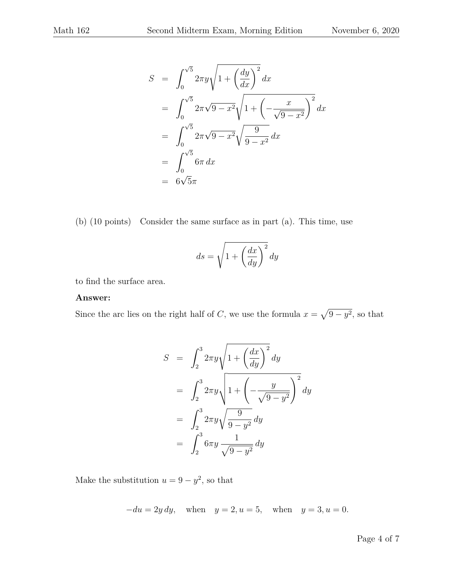$$
S = \int_0^{\sqrt{5}} 2\pi y \sqrt{1 + \left(\frac{dy}{dx}\right)^2} dx
$$
  
= 
$$
\int_0^{\sqrt{5}} 2\pi \sqrt{9 - x^2} \sqrt{1 + \left(-\frac{x}{\sqrt{9 - x^2}}\right)^2} dx
$$
  
= 
$$
\int_0^{\sqrt{5}} 2\pi \sqrt{9 - x^2} \sqrt{\frac{9}{9 - x^2}} dx
$$
  
= 
$$
\int_0^{\sqrt{5}} 6\pi dx
$$
  
= 
$$
6\sqrt{5}\pi
$$

(b) (10 points) Consider the same surface as in part (a). This time, use

$$
ds = \sqrt{1 + \left(\frac{dx}{dy}\right)^2} dy
$$

to find the surface area.

#### **Answer:**

Since the arc lies on the right half of C, we use the formula  $x = \sqrt{9 - y^2}$ , so that

$$
S = \int_2^3 2\pi y \sqrt{1 + \left(\frac{dx}{dy}\right)^2} dy
$$
  
= 
$$
\int_2^3 2\pi y \sqrt{1 + \left(-\frac{y}{\sqrt{9 - y^2}}\right)^2} dy
$$
  
= 
$$
\int_2^3 2\pi y \sqrt{\frac{9}{9 - y^2}} dy
$$
  
= 
$$
\int_2^3 6\pi y \frac{1}{\sqrt{9 - y^2}} dy
$$

Make the substitution  $u = 9 - y^2$ , so that

$$
-du = 2y \, dy, \quad \text{when} \quad y = 2, u = 5, \quad \text{when} \quad y = 3, u = 0.
$$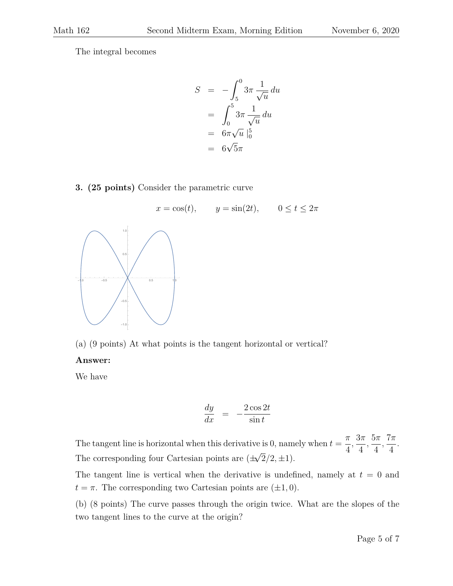The integral becomes

$$
S = -\int_5^0 3\pi \frac{1}{\sqrt{u}} du
$$
  
= 
$$
\int_0^5 3\pi \frac{1}{\sqrt{u}} du
$$
  
= 
$$
6\pi \sqrt{u} \Big|_0^5
$$
  
= 
$$
6\sqrt{5}\pi
$$

## **3. (25 points)** Consider the parametric curve



(a) (9 points) At what points is the tangent horizontal or vertical?

## **Answer:**

We have

$$
\frac{dy}{dx} = -\frac{2\cos 2t}{\sin t}
$$

The tangent line is horizontal when this derivative is 0, namely when  $t = \frac{\pi}{4}$ 4 ,  $3\pi$ 4 ,  $5\pi$ 4 ,  $7\pi$ 4 . The corresponding four Cartesian points are  $(\pm \sqrt{2}/2, \pm 1)$ . √

The tangent line is vertical when the derivative is undefined, namely at  $t = 0$  and  $t = \pi$ . The corresponding two Cartesian points are  $(\pm 1, 0)$ .

(b) (8 points) The curve passes through the origin twice. What are the slopes of the two tangent lines to the curve at the origin?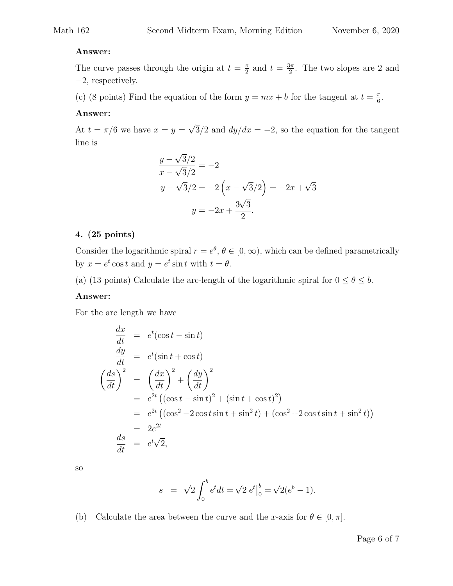#### **Answer:**

The curve passes through the origin at  $t = \frac{\pi}{2}$  $\frac{\pi}{2}$  and  $t = \frac{3\pi}{2}$  $\frac{3\pi}{2}$ . The two slopes are 2 and −2, respectively.

(c) (8 points) Find the equation of the form  $y = mx + b$  for the tangent at  $t = \frac{\pi}{6}$  $\frac{\pi}{6}$ .

#### **Answer:**

At  $t = \pi/6$  we have  $x = y =$ √  $3/2$  and  $dy/dx = -2$ , so the equation for the tangent line is

$$
\frac{y - \sqrt{3}/2}{x - \sqrt{3}/2} = -2
$$
  

$$
y - \sqrt{3}/2 = -2\left(x - \sqrt{3}/2\right) = -2x + \sqrt{3}
$$
  

$$
y = -2x + \frac{3\sqrt{3}}{2}.
$$

#### **4. (25 points)**

Consider the logarithmic spiral  $r = e^{\theta}$ ,  $\theta \in [0, \infty)$ , which can be defined parametrically by  $x = e^t \cos t$  and  $y = e^t \sin t$  with  $t = \theta$ .

(a) (13 points) Calculate the arc-length of the logarithmic spiral for  $0 \le \theta \le b$ .

#### **Answer:**

For the arc length we have

$$
\frac{dx}{dt} = e^t(\cos t - \sin t)
$$
\n
$$
\frac{dy}{dt} = e^t(\sin t + \cos t)
$$
\n
$$
\left(\frac{ds}{dt}\right)^2 = \left(\frac{dx}{dt}\right)^2 + \left(\frac{dy}{dt}\right)^2
$$
\n
$$
= e^{2t} \left((\cos t - \sin t)^2 + (\sin t + \cos t)^2\right)
$$
\n
$$
= e^{2t} \left((\cos^2 - 2\cos t \sin t + \sin^2 t) + (\cos^2 + 2\cos t \sin t + \sin^2 t)\right)
$$
\n
$$
= 2e^{2t}
$$
\n
$$
\frac{ds}{dt} = e^t\sqrt{2},
$$

so

$$
s = \sqrt{2} \int_0^b e^t dt = \sqrt{2} e^t \Big|_0^b = \sqrt{2} (e^b - 1).
$$

(b) Calculate the area between the curve and the x-axis for  $\theta \in [0, \pi]$ .